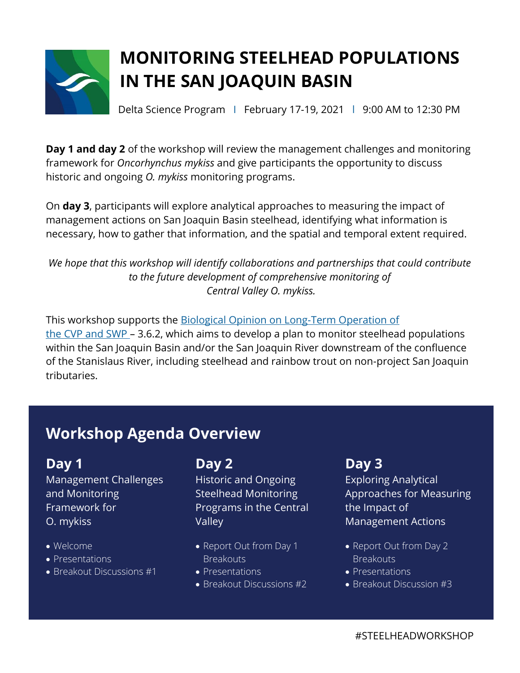

# **MONITORING STEELHEAD POPULATIONS IN THE SAN JOAQUIN BASIN**

Delta Science Program | February 17-19, 2021 | 9:00 AM to 12:30 PM

**Day 1 and day 2** of the workshop will review the management challenges and monitoring framework for *Oncorhynchus mykiss* and give participants the opportunity to discuss historic and ongoing *O. mykiss* monitoring programs.

On **day 3**, participants will explore analytical approaches to measuring the impact of management actions on San Joaquin Basin steelhead, identifying what information is necessary, how to gather that information, and the spatial and temporal extent required.

*We hope that this workshop will identify collaborations and partnerships that could contribute to the future development of comprehensive monitoring of Central Valley O. mykiss.*

This workshop supports the **Biological Opinion on Long-Term Operation of** the CVP and [SWP](https://www.fisheries.noaa.gov/resource/document/biological-opinion-reinitiation-consultation-long-term-operation-central-valley) – 3.6.2, which aims to develop a plan to monitor steelhead populations within the San Joaquin Basin and/or the San Joaquin River downstream of the confluence of the Stanislaus River, including steelhead and rainbow trout on non-project San Joaquin tributaries.

## **Workshop Agenda Overview**

### **Day 1**

Management Challenges and Monitoring Framework for O. mykiss

- Welcome
- Presentations
- Breakout Discussions #1

## **Day 2**

Historic and Ongoing Steelhead Monitoring Programs in the Central Valley

- Report Out from Day 1 **Breakouts**
- Presentations
- Breakout Discussions #2

### **Day 3**

Exploring Analytical Approaches for Measuring the Impact of Management Actions

- Report Out from Day 2 **Breakouts**
- Presentations
- Breakout Discussion #3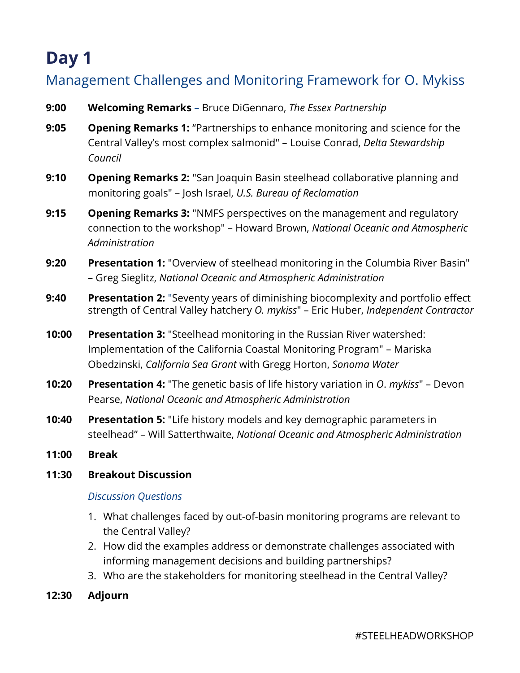# **Day 1**

### Management Challenges and Monitoring Framework for O. Mykiss

- **9:00 Welcoming Remarks** Bruce DiGennaro, *The Essex Partnership*
- **9:05 Opening Remarks 1:** "Partnerships to enhance monitoring and science for the Central Valley's most complex salmonid" – Louise Conrad, *Delta Stewardship Council*
- **9:10 Opening Remarks 2:** "San Joaquin Basin steelhead collaborative planning and monitoring goals" – Josh Israel, *U.S. Bureau of Reclamation*
- **9:15 Opening Remarks 3:** "NMFS perspectives on the management and regulatory connection to the workshop" – Howard Brown, *National Oceanic and Atmospheric Administration*
- **9:20 Presentation 1:** "Overview of steelhead monitoring in the Columbia River Basin" – Greg Sieglitz, *National Oceanic and Atmospheric Administration*
- **9:40 Presentation 2:** "Seventy years of diminishing biocomplexity and portfolio effect strength of Central Valley hatchery *O. mykiss*" – Eric Huber, *Independent Contractor*
- **10:00 Presentation 3:** "Steelhead monitoring in the Russian River watershed: Implementation of the California Coastal Monitoring Program" – Mariska Obedzinski, *California Sea Grant* with Gregg Horton, *Sonoma Water*
- **10:20 Presentation 4:** "The genetic basis of life history variation in *O*. *mykiss*" Devon Pearse, *National Oceanic and Atmospheric Administration*
- **10:40 Presentation 5:** "Life history models and key demographic parameters in steelhead" – Will Satterthwaite, *National Oceanic and Atmospheric Administration*
- **11:00 Break**
- **11:30 Breakout Discussion**

#### *Discussion Questions*

- 1. What challenges faced by out-of-basin monitoring programs are relevant to the Central Valley?
- 2. How did the examples address or demonstrate challenges associated with informing management decisions and building partnerships?
- 3. Who are the stakeholders for monitoring steelhead in the Central Valley?
- **12:30 Adjourn**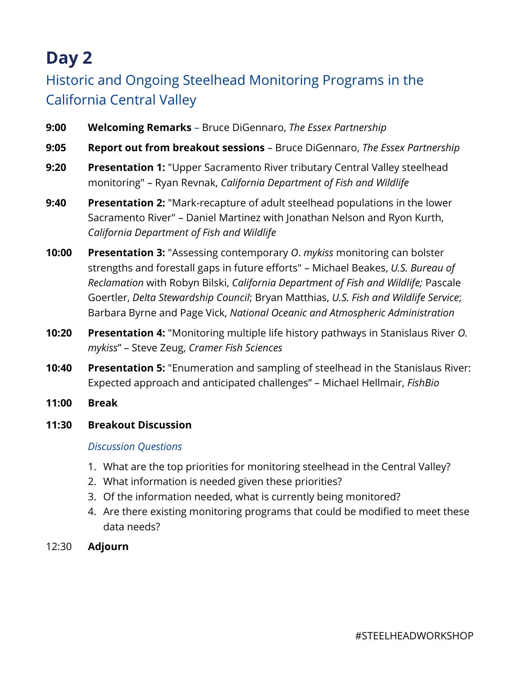# **Day 2**

## Historic and Ongoing Steelhead Monitoring Programs in the California Central Valley

- **9:00 Welcoming Remarks** Bruce DiGennaro, *The Essex Partnership*
- **9:05 Report out from breakout sessions** Bruce DiGennaro, *The Essex Partnership*
- **9:20 Presentation 1:** "Upper Sacramento River tributary Central Valley steelhead monitoring" – Ryan Revnak, *California Department of Fish and Wildlife*
- **9:40 Presentation 2:** "Mark-recapture of adult steelhead populations in the lower Sacramento River" – Daniel Martinez with Jonathan Nelson and Ryon Kurth, *California Department of Fish and Wildlife*
- **10:00 Presentation 3:** "Assessing contemporary *O*. *mykiss* monitoring can bolster strengths and forestall gaps in future efforts" – Michael Beakes, *U.S. Bureau of Reclamation* with Robyn Bilski, *California Department of Fish and Wildlife;* Pascale Goertler, *Delta Stewardship Council*; Bryan Matthias, *U.S. Fish and Wildlife Service*; Barbara Byrne and Page Vick, *National Oceanic and Atmospheric Administration*
- **10:20 Presentation 4:** "Monitoring multiple life history pathways in Stanislaus River *O. mykiss*" – Steve Zeug, *Cramer Fish Sciences*
- **10:40 Presentation 5:** "Enumeration and sampling of steelhead in the Stanislaus River: Expected approach and anticipated challenges" – Michael Hellmair, *FishBio*
- **11:00 Break**
- **11:30 Breakout Discussion**

#### *Discussion Questions*

- 1. What are the top priorities for monitoring steelhead in the Central Valley?
- 2. What information is needed given these priorities?
- 3. Of the information needed, what is currently being monitored?
- 4. Are there existing monitoring programs that could be modified to meet these data needs?
- 12:30 **Adjourn**